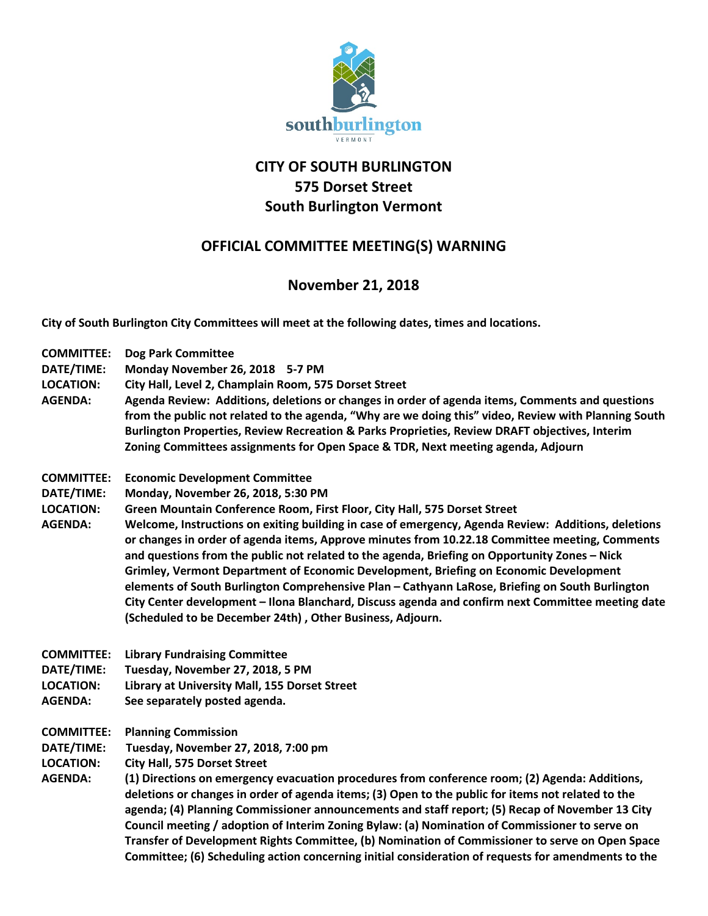

## **CITY OF SOUTH BURLINGTON 575 Dorset Street South Burlington Vermont**

## **OFFICIAL COMMITTEE MEETING(S) WARNING**

## **November 21, 2018**

**City of South Burlington City Committees will meet at the following dates, times and locations.** 

**COMMITTEE: Dog Park Committee DATE/TIME: Monday November 26, 2018 5-7 PM LOCATION: City Hall, Level 2, Champlain Room, 575 Dorset Street AGENDA: Agenda Review: Additions, deletions or changes in order of agenda items, Comments and questions from the public not related to the agenda, "Why are we doing this" video, Review with Planning South Burlington Properties, Review Recreation & Parks Proprieties, Review DRAFT objectives, Interim Zoning Committees assignments for Open Space & TDR, Next meeting agenda, Adjourn COMMITTEE: Economic Development Committee DATE/TIME: Monday, November 26, 2018, 5:30 PM LOCATION: Green Mountain Conference Room, First Floor, City Hall, 575 Dorset Street AGENDA: Welcome, Instructions on exiting building in case of emergency, Agenda Review: Additions, deletions or changes in order of agenda items, Approve minutes from 10.22.18 Committee meeting, Comments and questions from the public not related to the agenda, Briefing on Opportunity Zones – Nick Grimley, Vermont Department of Economic Development, Briefing on Economic Development elements of South Burlington Comprehensive Plan – Cathyann LaRose, Briefing on South Burlington City Center development – Ilona Blanchard, Discuss agenda and confirm next Committee meeting date (Scheduled to be December 24th) , Other Business, Adjourn. COMMITTEE: Library Fundraising Committee DATE/TIME: Tuesday, November 27, 2018, 5 PM LOCATION: Library at University Mall, 155 Dorset Street AGENDA: See separately posted agenda. COMMITTEE: Planning Commission DATE/TIME: Tuesday, November 27, 2018, 7:00 pm LOCATION: City Hall, 575 Dorset Street AGENDA: (1) Directions on emergency evacuation procedures from conference room; (2) Agenda: Additions, deletions or changes in order of agenda items; (3) Open to the public for items not related to the agenda; (4) Planning Commissioner announcements and staff report; (5) Recap of November 13 City Council meeting / adoption of Interim Zoning Bylaw: (a) Nomination of Commissioner to serve on Transfer of Development Rights Committee, (b) Nomination of Commissioner to serve on Open Space** 

**Committee; (6) Scheduling action concerning initial consideration of requests for amendments to the**